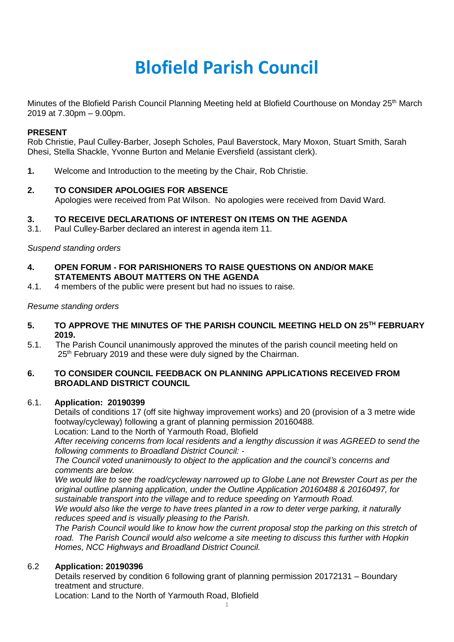# **Blofield Parish Council**

Minutes of the Blofield Parish Council Planning Meeting held at Blofield Courthouse on Monday 25th March 2019 at 7.30pm – 9.00pm.

### **PRESENT**

Rob Christie, Paul Culley-Barber, Joseph Scholes, Paul Baverstock, Mary Moxon, Stuart Smith, Sarah Dhesi, Stella Shackle, Yvonne Burton and Melanie Eversfield (assistant clerk).

**1.** Welcome and Introduction to the meeting by the Chair, Rob Christie.

### **2. TO CONSIDER APOLOGIES FOR ABSENCE**

Apologies were received from Pat Wilson. No apologies were received from David Ward.

### **3. TO RECEIVE DECLARATIONS OF INTEREST ON ITEMS ON THE AGENDA**

3.1. Paul Culley-Barber declared an interest in agenda item 11.

### *Suspend standing orders*

- **4. OPEN FORUM - FOR PARISHIONERS TO RAISE QUESTIONS ON AND/OR MAKE STATEMENTS ABOUT MATTERS ON THE AGENDA**
- 4.1. 4 members of the public were present but had no issues to raise.

### *Resume standing orders*

- **5. TO APPROVE THE MINUTES OF THE PARISH COUNCIL MEETING HELD ON 25TH FEBRUARY 2019.**
- 5.1. The Parish Council unanimously approved the minutes of the parish council meeting held on 25<sup>th</sup> February 2019 and these were duly signed by the Chairman.

# **6. TO CONSIDER COUNCIL FEEDBACK ON PLANNING APPLICATIONS RECEIVED FROM BROADLAND DISTRICT COUNCIL**

#### 6.1. **Application: 20190399**

Details of conditions 17 (off site highway improvement works) and 20 (provision of a 3 metre wide footway/cycleway) following a grant of planning permission 20160488.

Location: Land to the North of Yarmouth Road, Blofield

*After receiving concerns from local residents and a lengthy discussion it was AGREED to send the following comments to Broadland District Council: -*

*The Council voted unanimously to object to the application and the council's concerns and comments are below.*

*We would like to see the road/cycleway narrowed up to Globe Lane not Brewster Court as per the original outline planning application, under the Outline Application 20160488 & 20160497, for sustainable transport into the village and to reduce speeding on Yarmouth Road.*

*We would also like the verge to have trees planted in a row to deter verge parking, it naturally reduces speed and is visually pleasing to the Parish.* 

*The Parish Council would like to know how the current proposal stop the parking on this stretch of road. The Parish Council would also welcome a site meeting to discuss this further with Hopkin Homes, NCC Highways and Broadland District Council.* 

#### 6.2 **Application: 20190396**

Details reserved by condition 6 following grant of planning permission 20172131 – Boundary treatment and structure.

1

Location: Land to the North of Yarmouth Road, Blofield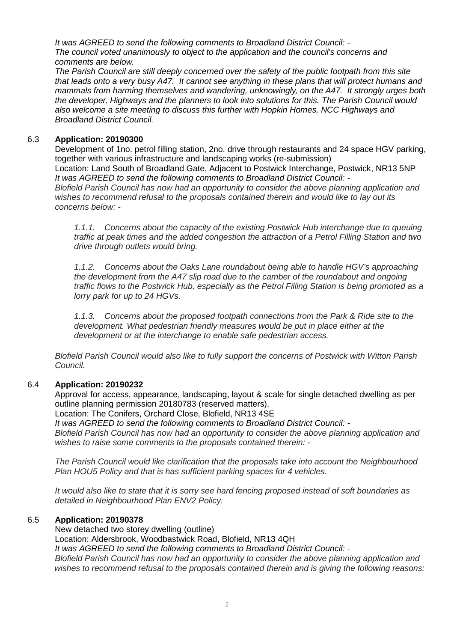*It was AGREED to send the following comments to Broadland District Council: - The council voted unanimously to object to the application and the council's concerns and comments are below.*

*The Parish Council are still deeply concerned over the safety of the public footpath from this site that leads onto a very busy A47. It cannot see anything in these plans that will protect humans and mammals from harming themselves and wandering, unknowingly, on the A47. It strongly urges both the developer, Highways and the planners to look into solutions for this. The Parish Council would also welcome a site meeting to discuss this further with Hopkin Homes, NCC Highways and Broadland District Council.*

# 6.3 **Application: 20190300**

Development of 1no. petrol filling station, 2no. drive through restaurants and 24 space HGV parking, together with various infrastructure and landscaping works (re-submission) Location: Land South of Broadland Gate, Adjacent to Postwick Interchange, Postwick, NR13 5NP *It was AGREED to send the following comments to Broadland District Council: - Blofield Parish Council has now had an opportunity to consider the above planning application and wishes to recommend refusal to the proposals contained therein and would like to lay out its concerns below: -*

*1.1.1. Concerns about the capacity of the existing Postwick Hub interchange due to queuing traffic at peak times and the added congestion the attraction of a Petrol Filling Station and two drive through outlets would bring.* 

*1.1.2. Concerns about the Oaks Lane roundabout being able to handle HGV's approaching the development from the A47 slip road due to the camber of the roundabout and ongoing traffic flows to the Postwick Hub, especially as the Petrol Filling Station is being promoted as a lorry park for up to 24 HGVs.* 

*1.1.3. Concerns about the proposed footpath connections from the Park & Ride site to the development. What pedestrian friendly measures would be put in place either at the development or at the interchange to enable safe pedestrian access.* 

*Blofield Parish Council would also like to fully support the concerns of Postwick with Witton Parish Council.*

# 6.4 **Application: 20190232**

Approval for access, appearance, landscaping, layout & scale for single detached dwelling as per outline planning permission 20180783 (reserved matters).

Location: The Conifers, Orchard Close, Blofield, NR13 4SE

*It was AGREED to send the following comments to Broadland District Council: -*

*Blofield Parish Council has now had an opportunity to consider the above planning application and wishes to raise some comments to the proposals contained therein: -*

*The Parish Council would like clarification that the proposals take into account the Neighbourhood Plan HOU5 Policy and that is has sufficient parking spaces for 4 vehicles.*

*It would also like to state that it is sorry see hard fencing proposed instead of soft boundaries as detailed in Neighbourhood Plan ENV2 Policy.*

# 6.5 **Application: 20190378**

New detached two storey dwelling (outline) Location: Aldersbrook, Woodbastwick Road, Blofield, NR13 4QH *It was AGREED to send the following comments to Broadland District Council: - Blofield Parish Council has now had an opportunity to consider the above planning application and wishes to recommend refusal to the proposals contained therein and is giving the following reasons:*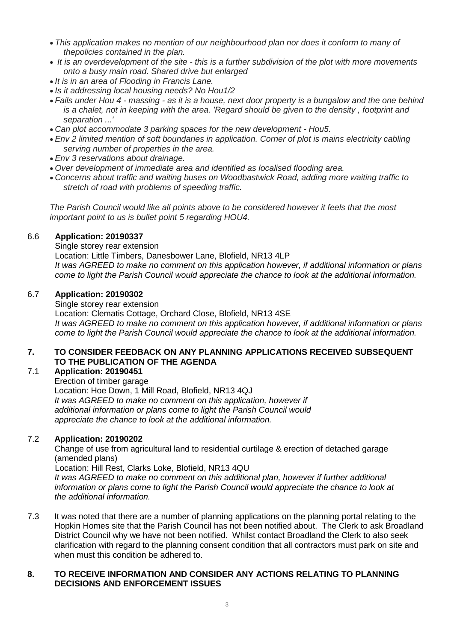- *This application makes no mention of our neighbourhood plan nor does it conform to many of thepolicies contained in the plan.*
- *It is an overdevelopment of the site - this is a further subdivision of the plot with more movements onto a busy main road. Shared drive but enlarged*
- *It is in an area of Flooding in Francis Lane.*
- *Is it addressing local housing needs? No Hou1/2*
- *Fails under Hou 4 - massing - as it is a house, next door property is a bungalow and the one behind is a chalet, not in keeping with the area. 'Regard should be given to the density , footprint and separation ...'*
- *Can plot accommodate 3 parking spaces for the new development - Hou5.*
- *Env 2 limited mention of soft boundaries in application. Corner of plot is mains electricity cabling serving number of properties in the area.*
- *Env 3 reservations about drainage.*
- *Over development of immediate area and identified as localised flooding area.*
- *Concerns about traffic and waiting buses on Woodbastwick Road, adding more waiting traffic to stretch of road with problems of speeding traffic.*

*The Parish Council would like all points above to be considered however it feels that the most important point to us is bullet point 5 regarding HOU4.*

#### 6.6 **Application: 20190337**

Single storey rear extension

Location: Little Timbers, Danesbower Lane, Blofield, NR13 4LP *It was AGREED to make no comment on this application however, if additional information or plans come to light the Parish Council would appreciate the chance to look at the additional information.* 

### 6.7 **Application: 20190302**

Single storey rear extension Location: Clematis Cottage, Orchard Close, Blofield, NR13 4SE *It was AGREED to make no comment on this application however, if additional information or plans come to light the Parish Council would appreciate the chance to look at the additional information.* 

### **7. TO CONSIDER FEEDBACK ON ANY PLANNING APPLICATIONS RECEIVED SUBSEQUENT TO THE PUBLICATION OF THE AGENDA**

# 7.1 **Application: 20190451**

Erection of timber garage Location: Hoe Down, 1 Mill Road, Blofield, NR13 4QJ *It was AGREED to make no comment on this application, however if additional information or plans come to light the Parish Council would appreciate the chance to look at the additional information.* 

# 7.2 **Application: 20190202**

Change of use from agricultural land to residential curtilage & erection of detached garage (amended plans)

Location: Hill Rest, Clarks Loke, Blofield, NR13 4QU

*It was AGREED to make no comment on this additional plan, however if further additional information or plans come to light the Parish Council would appreciate the chance to look at the additional information.* 

7.3 It was noted that there are a number of planning applications on the planning portal relating to the Hopkin Homes site that the Parish Council has not been notified about. The Clerk to ask Broadland District Council why we have not been notified. Whilst contact Broadland the Clerk to also seek clarification with regard to the planning consent condition that all contractors must park on site and when must this condition be adhered to.

# **8. TO RECEIVE INFORMATION AND CONSIDER ANY ACTIONS RELATING TO PLANNING DECISIONS AND ENFORCEMENT ISSUES**